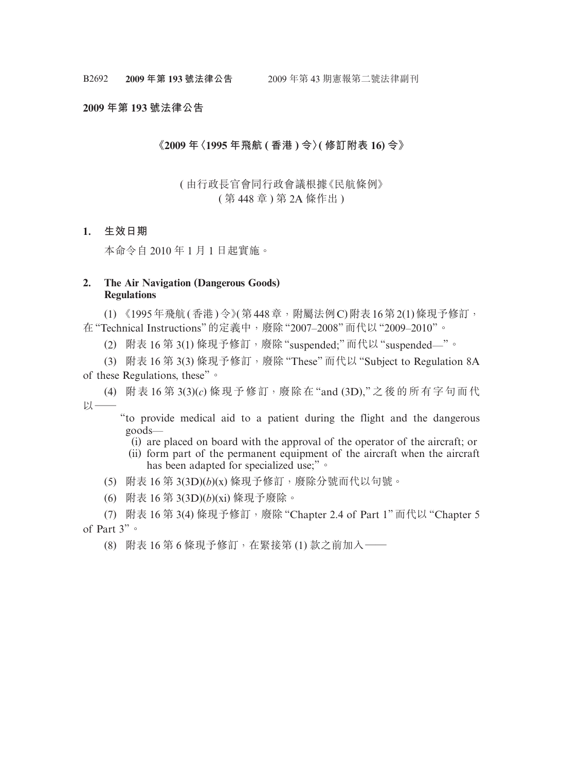#### **2009 年第 193 號法律公告**

### **《2009 年〈1995 年飛航 ( 香港 ) 令〉( 修訂附表 16) 令》**

# ( 由行政長官會同行政會議根據《民航條例》 ( 第 448 章 ) 第 2A 條作出 )

## **1. 生效日期**

本命令自 2010 年 1 月 1 日起實施。

# **2. The Air Navigation (Dangerous Goods) Regulations**

(1) 《1995年飛航(香港)令》(第448章,附屬法例C)附表16第2(1)條現予修訂, 在"Technical Instructions"的定義中,廢除"2007–2008"而代以"2009–2010"。

(2) 附表 16 第 3(1) 條現予修訂,廢除"suspended;"而代以"suspended—"。

(3) 附表 16 第 3(3) 條現予修訂,廢除 "These" 而代以 "Subject to Regulation 8A of these Regulations, these"。

(4) 附表 16 第 3(3)(*c*) 條現予修訂,廢除在 "and (3D)," 之後的所有字句而代  $\n *D*$ 

"to provide medical aid to a patient during the flight and the dangerous goods—

(i) are placed on board with the approval of the operator of the aircraft; or

(ii) form part of the permanent equipment of the aircraft when the aircraft has been adapted for specialized use;" or

(5) 附表 16 第 3(3D)(*b*)(x) 條現予修訂,廢除分號而代以句號。

(6) 附表 16 第 3(3D)(*b*)(xi) 條現予廢除。

(7) 附表 16 第 3(4) 條現予修訂,廢除 "Chapter 2.4 of Part 1" 而代以 "Chapter 5 of Part 3"。

(8) 附表 16 第 6 條現予修訂,在緊接第 (1) 款之前加入——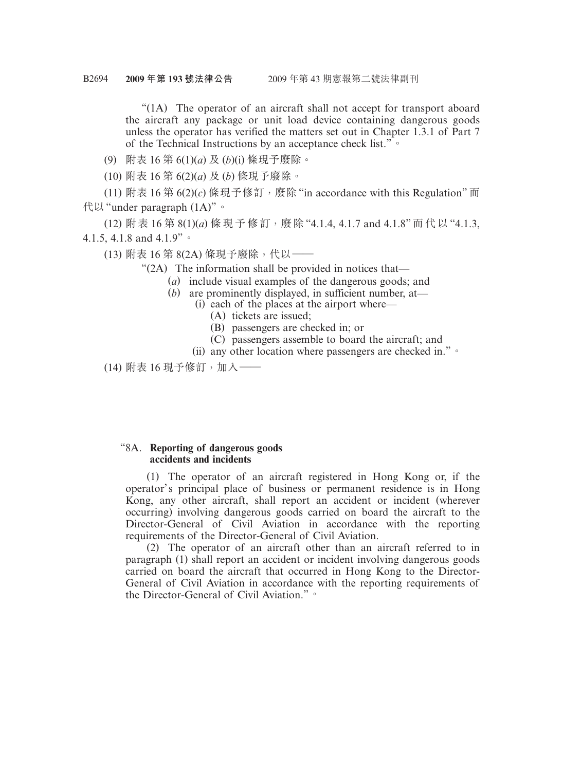"(1A) The operator of an aircraft shall not accept for transport aboard the aircraft any package or unit load device containing dangerous goods unless the operator has verified the matters set out in Chapter 1.3.1 of Part 7 of the Technical Instructions by an acceptance check list."。

(9) 附表 16 第 6(1)(*a*) 及 (*b*)(i) 條現予廢除。

(10) 附表 16 第 6(2)(*a*) 及 (*b*) 條現予廢除。

(11) 附表 16 第 6(2)(c) 條現予修訂, 廢除 "in accordance with this Regulation" 而 代以"under paragraph (1A)"。

(12) 附表 16 第 8(1)(*a*) 條現予修訂,廢除 "4.1.4, 4.1.7 and 4.1.8" 而代以 "4.1.3, 4.1.5, 4.1.8 and 4.1.9"。

(13) 附表 16 第 8(2A) 條現予廢除, 代以 ——

"(2A) The information shall be provided in notices that—

- (*a*) include visual examples of the dangerous goods; and
- (*b*) are prominently displayed, in sufficient number, at—
	- (i) each of the places at the airport where—
		- (A) tickets are issued;
		- (B) passengers are checked in; or
		- (C) passengers assemble to board the aircraft; and
	- (ii) any other location where passengers are checked in."。

(14) 附表 16 現予修訂,加入——

### "8A. **Reporting of dangerous goods accidents and incidents**

(1) The operator of an aircraft registered in Hong Kong or, if the operator's principal place of business or permanent residence is in Hong Kong, any other aircraft, shall report an accident or incident (wherever occurring) involving dangerous goods carried on board the aircraft to the Director-General of Civil Aviation in accordance with the reporting requirements of the Director-General of Civil Aviation.

(2) The operator of an aircraft other than an aircraft referred to in paragraph (1) shall report an accident or incident involving dangerous goods carried on board the aircraft that occurred in Hong Kong to the Director-General of Civil Aviation in accordance with the reporting requirements of the Director-General of Civil Aviation."。